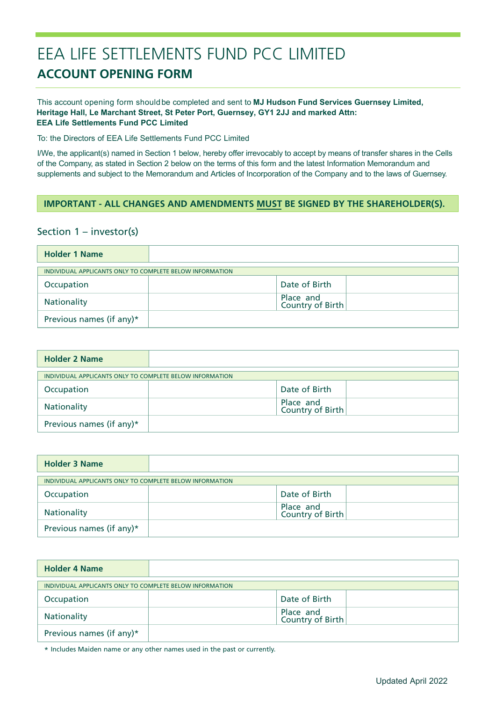# EEA LIFE SETTLEMENTS FUND PCC LIMITED **ACCOUNT OPENING FORM**

### This account opening form should be completed and sent to **MJ Hudson Fund Services Guernsey Limited, Heritage Hall, Le Marchant Street, St Peter Port, Guernsey, GY1 2JJ and marked Attn: EEA Life Settlements Fund PCC Limited**

To: the Directors of EEA Life Settlements Fund PCC Limited

I/We, the applicant(s) named in Section 1 below, hereby offer irrevocably to accept by means of transfer shares in the Cells of the Company, as stated in Section 2 below on the terms of this form and the latest Information Memorandum and supplements and subject to the Memorandum and Articles of Incorporation of the Company and to the laws of Guernsey.

### **IMPORTANT - ALL CHANGES AND AMENDMENTS MUST BE SIGNED BY THE SHAREHOLDER(S).**

### Section 1 – investor(s)

| <b>Holder 1 Name</b>                                     |                               |  |
|----------------------------------------------------------|-------------------------------|--|
| INDIVIDUAL APPLICANTS ONLY TO COMPLETE BELOW INFORMATION |                               |  |
| Occupation                                               | Date of Birth                 |  |
| Nationality                                              | Place and<br>Country of Birth |  |
| Previous names (if any)*                                 |                               |  |

| <b>Holder 2 Name</b>                                     |                               |
|----------------------------------------------------------|-------------------------------|
| INDIVIDUAL APPLICANTS ONLY TO COMPLETE BELOW INFORMATION |                               |
| Occupation                                               | Date of Birth                 |
| Nationality                                              | Place and<br>Country of Birth |
| Previous names (if any)*                                 |                               |

| <b>Holder 3 Name</b>                                     |                               |
|----------------------------------------------------------|-------------------------------|
| INDIVIDUAL APPLICANTS ONLY TO COMPLETE BELOW INFORMATION |                               |
| Occupation                                               | Date of Birth                 |
| Nationality                                              | Place and<br>Country of Birth |
| Previous names (if any)*                                 |                               |

| <b>Holder 4 Name</b>                                     |                               |
|----------------------------------------------------------|-------------------------------|
| INDIVIDUAL APPLICANTS ONLY TO COMPLETE BELOW INFORMATION |                               |
| Occupation                                               | Date of Birth                 |
| Nationality                                              | Place and<br>Country of Birth |
| Previous names (if any)*                                 |                               |

\* Includes Maiden name or any other names used in the past or currently.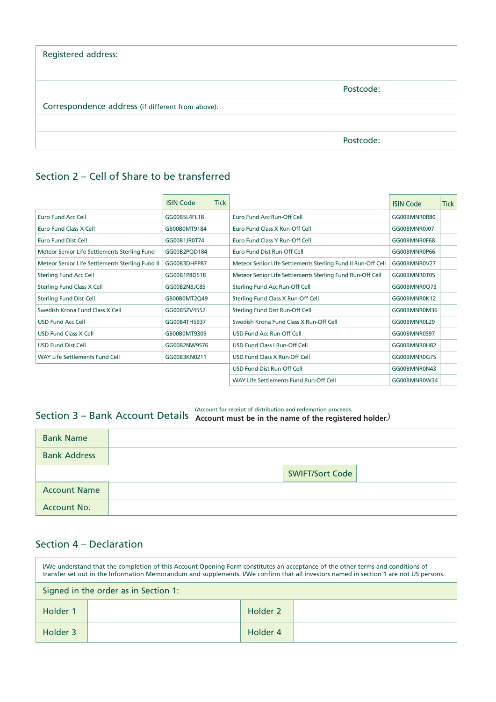| Registered address:                               |           |
|---------------------------------------------------|-----------|
|                                                   |           |
|                                                   | Postcode: |
| Correspondence address (if different from above): |           |
|                                                   |           |
|                                                   | Postcode: |

## Section 2 – Cell of Share to be transferred

|                                                 | <b>ISIN Code</b> | <b>Tick</b> |                                                              | <b>ISIN Code</b> | Tick |
|-------------------------------------------------|------------------|-------------|--------------------------------------------------------------|------------------|------|
| Euro Fund Acc Cell                              | GG00B5L4FL18     |             | Euro Fund Acc Run-Off Cell                                   | GG00BMNR0R80     |      |
| Euro Fund Class X Cell                          | GB00B0MT9184     |             | Euro Fund Class X Run-Off Cell                               | GG00BMNR0J07     |      |
| <b>Euro Fund Dist Cell</b>                      | GG00B1JR0T74     |             | Euro Fund Class Y Run-Off Cell                               | GG00BMNR0F68     |      |
| Meteor Senior Life Settlements Sterling Fund    | GG00B2PQD184     |             | Euro Fund Dist Run-Off Cell                                  | GG00BMNR0P66     |      |
| Meteor Senior Life Settlements Sterling Fund II | GG00B3DHPP87     |             | Meteor Senior Life Settlements Sterling Fund II Run-Off Cell | GG00BMNR0V27     |      |
| <b>Sterling Fund Acc Cell</b>                   | GG00B1P8D518     |             | Meteor Senior Life Settlements Sterling Fund Run-Off Cell    | GG00BMNR0T05     |      |
| <b>Sterling Fund Class X Cell</b>               | GG00B2NBJC85     |             | Sterling Fund Acc Run-Off Cell                               | GG00BMNR0Q73     |      |
| <b>Sterling Fund Dist Cell</b>                  | GB00B0MT2Q49     |             | Sterling Fund Class X Run-Off Cell                           | GG00BMNR0K12     |      |
| Swedish Krona Fund Class X Cell                 | GG00B5ZV4552     |             | Sterling Fund Dist Run-Off Cell                              | GG00BMNR0M36     |      |
| <b>USD Fund Acc Cell</b>                        | GG00B4TH5937     |             | Swedish Krona Fund Class X Run-Off Cell                      | GG00BMNR0L29     |      |
| <b>USD Fund Class X Cell</b>                    | GB00B0MT9309     |             | USD Fund Acc Run-Off Cell                                    | GG00BMNR0S97     |      |
| <b>USD Fund Dist Cell</b>                       | GG00B2NW9S76     |             | USD Fund Class I Run-Off Cell                                | GG00BMNR0H82     |      |
| WAY Life Settlements Fund Cell                  | GG00B3KN0211     |             | USD Fund Class X Run-Off Cell                                | GG00BMNR0G75     |      |
|                                                 |                  |             | USD Fund Dist Run-Off Cell                                   | GG00BMNR0N43     |      |
|                                                 |                  |             | WAY Life Settlements Fund Run-Off Cell                       | GG00BMNR0W34     |      |

# Section 3 — Bank Account Details (Account for receipt of distribution and redemption proceeds.<br>Section 3 — Bank Account Details (Account must be in the name of the registered holder.)

| and account must be in the name of the registered holder. |  |
|-----------------------------------------------------------|--|
|                                                           |  |

| <b>Bank Name</b>    |  |                        |  |
|---------------------|--|------------------------|--|
| <b>Bank Address</b> |  |                        |  |
|                     |  | <b>SWIFT/Sort Code</b> |  |
| <b>Account Name</b> |  |                        |  |
| Account No.         |  |                        |  |

## Section 4 – Declaration

| I/We understand that the completion of this Account Opening Form constitutes an acceptance of the other terms and conditions of<br>transfer set out in the Information Memorandum and supplements. I/We confirm that all investors named in section 1 are not US persons. |  |          |  |
|---------------------------------------------------------------------------------------------------------------------------------------------------------------------------------------------------------------------------------------------------------------------------|--|----------|--|
| Signed in the order as in Section 1:                                                                                                                                                                                                                                      |  |          |  |
| Holder 1                                                                                                                                                                                                                                                                  |  | Holder 2 |  |
| Holder 3                                                                                                                                                                                                                                                                  |  | Holder 4 |  |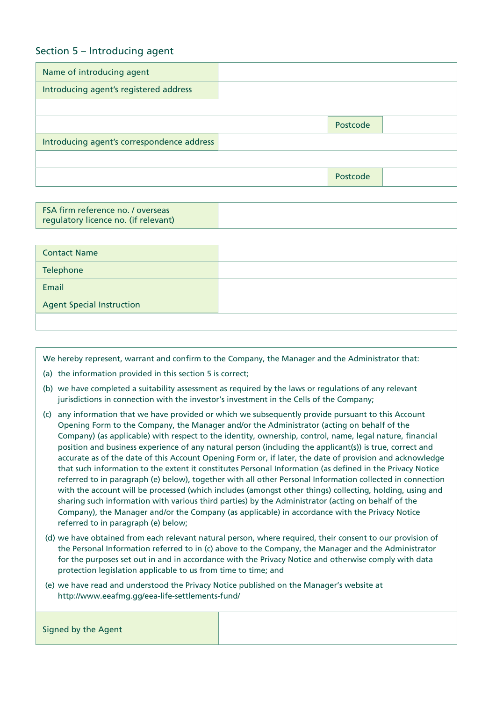### Section 5 – Introducing agent

| Name of introducing agent                  |          |  |
|--------------------------------------------|----------|--|
| Introducing agent's registered address     |          |  |
|                                            |          |  |
|                                            | Postcode |  |
| Introducing agent's correspondence address |          |  |
|                                            |          |  |
|                                            | Postcode |  |

| regulatory licence no. (if relevant) |
|--------------------------------------|
|--------------------------------------|

| <b>Contact Name</b>              |  |
|----------------------------------|--|
| Telephone                        |  |
| Email                            |  |
| <b>Agent Special Instruction</b> |  |
|                                  |  |

We hereby represent, warrant and confirm to the Company, the Manager and the Administrator that:

- (a) the information provided in this section 5 is correct;
- (b) we have completed a suitability assessment as required by the laws or regulations of any relevant jurisdictions in connection with the investor's investment in the Cells of the Company;
- (c) any information that we have provided or which we subsequently provide pursuant to this Account Opening Form to the Company, the Manager and/or the Administrator (acting on behalf of the Company) (as applicable) with respect to the identity, ownership, control, name, legal nature, financial position and business experience of any natural person (including the applicant(s)) is true, correct and accurate as of the date of this Account Opening Form or, if later, the date of provision and acknowledge that such information to the extent it constitutes Personal Information (as defined in the Privacy Notice referred to in paragraph (e) below), together with all other Personal Information collected in connection with the account will be processed (which includes (amongst other things) collecting, holding, using and sharing such information with various third parties) by the Administrator (acting on behalf of the Company), the Manager and/or the Company (as applicable) in accordance with the Privacy Notice referred to in paragraph (e) below;
- (d) we have obtained from each relevant natural person, where required, their consent to our provision of the Personal Information referred to in (c) above to the Company, the Manager and the Administrator for the purposes set out in and in accordance with the Privacy Notice and otherwise comply with data protection legislation applicable to us from time to time; and
- (e) we have read and understood the Privacy Notice published on the Manager's website at http://www.eeafmg.gg/eea-life-settlements-fund/

| Signed by the Agent |  |
|---------------------|--|
|                     |  |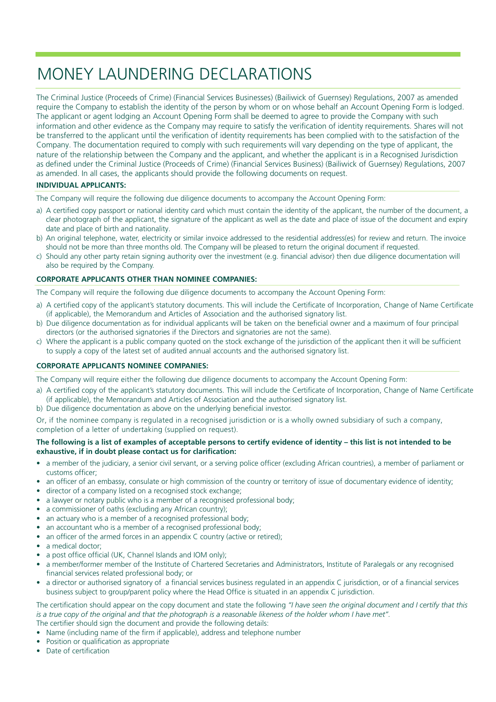# MONEY LAUNDERING DECLARATIONS

The Criminal Justice (Proceeds of Crime) (Financial Services Businesses) (Bailiwick of Guernsey) Regulations, 2007 as amended require the Company to establish the identity of the person by whom or on whose behalf an Account Opening Form is lodged. The applicant or agent lodging an Account Opening Form shall be deemed to agree to provide the Company with such information and other evidence as the Company may require to satisfy the verification of identity requirements. Shares will not be transferred to the applicant until the verification of identity requirements has been complied with to the satisfaction of the Company. The documentation required to comply with such requirements will vary depending on the type of applicant, the nature of the relationship between the Company and the applicant, and whether the applicant is in a Recognised Jurisdiction as defined under the Criminal Justice (Proceeds of Crime) (Financial Services Business) (Bailiwick of Guernsey) Regulations, 2007 as amended. In all cases, the applicants should provide the following documents on request.

### **INDIVIDUAL APPLICANTS:**

The Company will require the following due diligence documents to accompany the Account Opening Form:

- a) A certified copy passport or national identity card which must contain the identity of the applicant, the number of the document, a clear photograph of the applicant, the signature of the applicant as well as the date and place of issue of the document and expiry date and place of birth and nationality.
- b) An original telephone, water, electricity or similar invoice addressed to the residential address(es) for review and return. The invoice should not be more than three months old. The Company will be pleased to return the original document if requested.
- c) Should any other party retain signing authority over the investment (e.g. financial advisor) then due diligence documentation will also be required by the Company.

### **CORPORATE APPLICANTS OTHER THAN NOMINEE COMPANIES:**

The Company will require the following due diligence documents to accompany the Account Opening Form:

- a) A certified copy of the applicant's statutory documents. This will include the Certificate of Incorporation, Change of Name Certificate (if applicable), the Memorandum and Articles of Association and the authorised signatory list.
- b) Due diligence documentation as for individual applicants will be taken on the beneficial owner and a maximum of four principal directors (or the authorised signatories if the Directors and signatories are not the same).
- c) Where the applicant is a public company quoted on the stock exchange of the jurisdiction of the applicant then it will be sufficient to supply a copy of the latest set of audited annual accounts and the authorised signatory list.

### **CORPORATE APPLICANTS NOMINEE COMPANIES:**

The Company will require either the following due diligence documents to accompany the Account Opening Form:

- a) A certified copy of the applicant's statutory documents. This will include the Certificate of Incorporation, Change of Name Certificate (if applicable), the Memorandum and Articles of Association and the authorised signatory list.
- b) Due diligence documentation as above on the underlying beneficial investor.

Or, if the nominee company is regulated in a recognised jurisdiction or is a wholly owned subsidiary of such a company, completion of a letter of undertaking (supplied on request).

#### **The following is a list of examples of acceptable persons to certify evidence of identity – this list is not intended to be exhaustive, if in doubt please contact us for clarification:**

- a member of the judiciary, a senior civil servant, or a serving police officer (excluding African countries), a member of parliament or customs officer;
- an officer of an embassy, consulate or high commission of the country or territory of issue of documentary evidence of identity;
- director of a company listed on a recognised stock exchange:
- a lawyer or notary public who is a member of a recognised professional body;
- a commissioner of oaths (excluding any African country);
- an actuary who is a member of a recognised professional body;
- an accountant who is a member of a recognised professional body;
- an officer of the armed forces in an appendix C country (active or retired);
- a medical doctor:
- a post office official (UK, Channel Islands and IOM only);
- a member/former member of the Institute of Chartered Secretaries and Administrators, Institute of Paralegals or any recognised financial services related professional body; or
- a director or authorised signatory of a financial services business regulated in an appendix C jurisdiction, or of a financial services business subject to group/parent policy where the Head Office is situated in an appendix C jurisdiction.

The certification should appear on the copy document and state the following *"I have seen the original document and I certify that this is a true copy of the original and that the photograph is a reasonable likeness of the holder whom I have met"*. The certifier should sign the document and provide the following details:

- Name (including name of the firm if applicable), address and telephone number
- Position or qualification as appropriate
- Date of certification